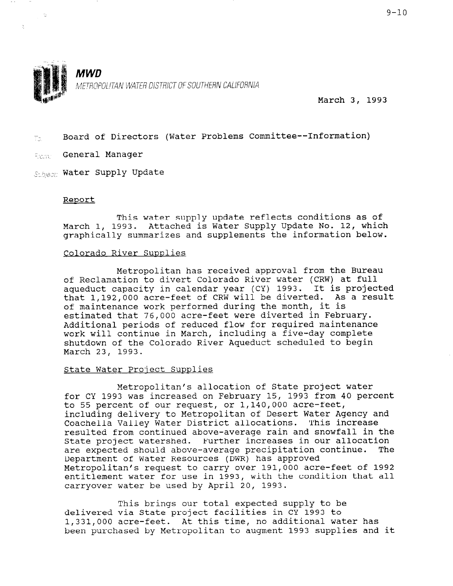

March 3, 1993

 $\tau_{\text{in}}$  Board of Directors (Water Problems Committee--Information)

**Example General Manager** 

Sthear Water Supply Update

#### Report

 $\Delta$ 

This water supply update reflects conditions as of March 1, 1993. Attached is Water Supply Update No. 12, which graphically summarizes and supplements the information below.

#### Colorado River Supplies

Metropolitan has received approval from the Bureau of Reclamation to divert Colorado River water (CRW) at full aqueduct capacity in calendar year (CY) 1993. It is projected that 1,192,OOO acre-feet of CRW will be diverted. As a result of maintenance work performed during the month, it is estimated that 76,000 acre-feet were diverted in February. Additional periods of reduced flow for required maintenance work will continue in March, including a five-day complete shutdown of the Colorado River Aqueduct scheduled to begin March 23, 1993.

#### State Water Proiect Supplies

Metropolitan's allocation of State project water for CY 1993 was increased on February 15, 1993 from 40 percent to 55 percent of our request, or 1,140,OOO acre-feet, including delivery to Metropolitan of Desert Water Agency and Coachella Valley Water District allocations. This increase resulted from continued above-average rain and snowfall in the IESUITEU IIUM CONTINUEU ADOVE-AVEIAGE IAIN ANU SHOWIAII II are expected should above-average precipitation continue. The are expected should above-average precipitation continue.<br>Department of Water Resources (DWR) has approved Metropolitan's request to carry over 191,000 acre-feet of 1992 metroportian's request to carry over 191,000 acre-tiese bit 1993, encretement water for use in 1993, with c

 $T$  to be defined supply to be defined supply to be defined supply to be defined supply to be defined supply to be defined supply to be defined supply to be defined supply to be defined supply to be defined supply to be d delivered via State project facilities in CY 1993 to the State project facilities in CY 1993 to the delivered via State project facilities in CY 1993 to 1,331,000 acre-feet. At this time, no additional water has<br>been purchased by Metropolitan to augment 1993 supplies and it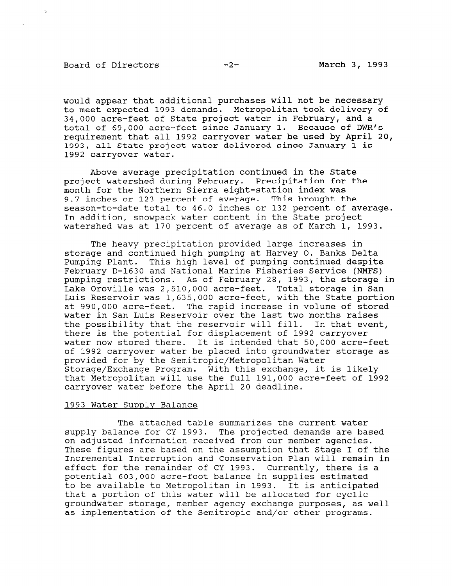#### Board of Directors -2- March 3, 1993

would appear that additional purchases will not be necessary to meet expected 1993 demands. Metropolitan took delivery of 34,000 acre-feet of State project water in February, and a total of 69,000 acre-feet since January 1. Because of DWR's requirement that all 1992 carryover water be used by April 20, 1993, all State project water delivered since January 1 is 1992 carryover water.

Above average precipitation continued in the State project watershed during February. Precipitation for the month for the Northern Sierra eight-station index was 9.7 inches or 123 percent of average. This brought the season-to-date total to 46.0 inches or 132 percent of average. In addition, snowpack water content in the State project watershed was at 170 percent of average as of March 1, 1993.

The heavy precipitation provided large increases in storage and continued high pumping at Harvey 0. Banks Delta Pumping Plant. This high level of pumping continued despite February D-1630 and National Marine Fisheries Service (NMFS) pumping restrictions. As of February 28, 1993, the storage in Lake Oroville was 2,510,OOO acre-feet. Total storage in San Luis Reservoir was 1,635,OOO acre-feet, with the State portion at 990,000 acre-feet. The rapid increase in volume of stored water in San Luis Reservoir over the last two months raises the possibility that the reservoir will fill. In that event, there is the potential for displacement of 1992 carryover water now stored there. It is intended that 50,000 acre-feet of 1992 carryover water be placed into groundwater storage as provided for by the Semitropic/Metropolitan Water Storage/Exchange Program. With this exchange, it is likely that Metropolitan will use the full 191,000 acre-feet of 1992 carryover water before the April 20 deadline.

#### 1993 Water Supply Balance

The attached table summarizes the current water supply balance for CY 1993. The projected demands are based on adjusted information received from our member agencies. These figures are based on the assumption that Stage I of the Incremental Interruption and Conservation Plan will remain in effect for the remainder of CY 1993. Currently, there is a potential 603,000 acre-foot balance in supplies to the supplies of the supplies of the supplies in supplies that is potential 803,000 active-loot balance in supplies estimate to be available to Metropolitan in 1993. It is anticipated that a portion of this water will be allocated for cyclic groundwater storage, member agency exchange purposes, as well as implementation of the Semitropic and/or other programs.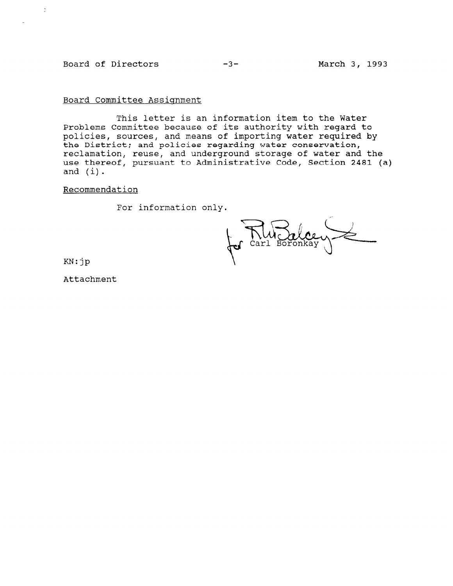#### Board of Directors -3- Harch 3, 1993

 $\mathbb{R}^2$ 

Board Committee Assignment

This letter is an information item to the Water Problems Committee because of its authority with regard to policies, sources, and means of importing water required by the District; and policies regarding water conservation, reclamation, reuse, and underground storage of water and the use thereof, pursuant to Administrative Code, Section 2481 (a) and (i).

Recommendation

For information only.

NW Orl

KN:jp

Attachment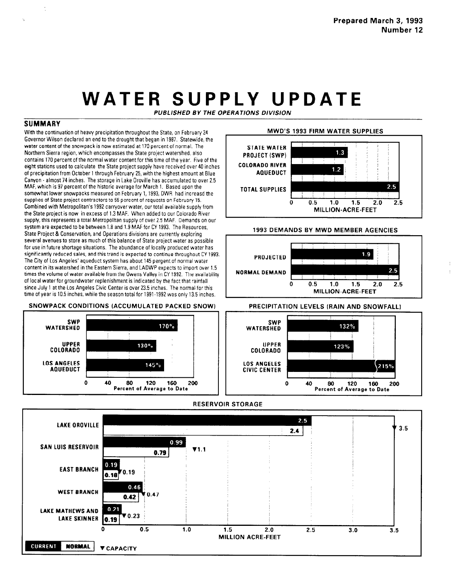# WATER SUPPLY UPDATE

PUBLISHED BY THE OPERATIONS DIVISION

### **SUMMARY**

With the continuation of heavy precipitation throughout the State, on February 24 Governor Wilson declared an end to the drought that began in 1987. Statewide, the water content of the snowpack is now estimated at 170 percent of normal. The Northern Sierra region, which encompasses the State project watershed, also contains 170 percent of the normal water contentfor this time of the year. Five of the eight stations used to calculate the State project supply have received over 40 inches of precipitation from Ocmber I through February 25, with the highest amount at Blue Canyon - almost74 inches. The storage in Lake Oroville has accumulated to over 2.5 MAF, which is 97 percent of the historic average for March 1. Based upon the somewhat lower snowpacks measured on February 1,1993, DWR had increasd the supplres of State project contractors to 55 percent of requests on February 15. Combined with Metropolitan's 1992 carryover water, our total available supply from the State project is now in excess of I .3 MAF. When added to our Colorado River suppiy, this represents a total Metropolitan supply of over 2.5 MAF. Demands on our system are expected to be between 1.9 and 1.9 MAF for CY 1993. The Resources, State Project & Conservation, and Operations divisions are currently exploring several avenues to store as much of this balance of State project water as possible for use in future shortage situations. The abundance of locally produced water has significantly reduced sales, and this trend is expected to continue throughout CY 1993. The CitY of Los Angeles' aqueduct system has about 145 pergent of normal 'water content in its watershed in the Eastern Sierra, and LADWP expects to import over 1.5 times the volume of water available from the Owens Valley in CY 1992. The availability of local water for groundwater replenishment is indicated by the fact that rainfall since July 1 at the Los Angeles Civic Center is over 23.5 inches. The normal for this time of year is 10.5 inches, while the season total for 1991-1992 was only 13.5 inches.

#### SNOWPACK CONDITIONS (ACCUMULATED PACKED SNOW) PRECIPITATION LEVELS (RAIN AND SNOWFALL]



## MWD'S 1993 FIRM WATER SUPPLIES



#### 1993 DEMANDS BY MWD MEMBER AGENCIES